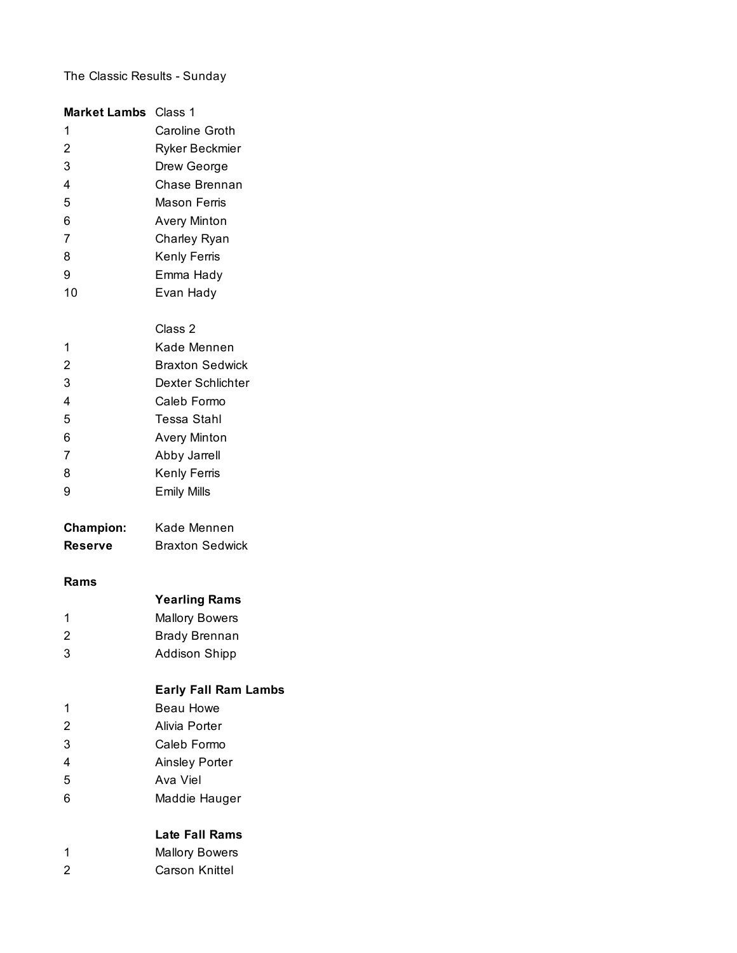# The Classic Results - Sunday

| <b>Market Lambs</b> Class 1 |                             |
|-----------------------------|-----------------------------|
| 1                           | Caroline Groth              |
| $\overline{c}$              | Ryker Beckmier              |
| 3                           | Drew George                 |
| 4                           | Chase Brennan               |
| 5                           | Mason Ferris                |
| 6                           | <b>Avery Minton</b>         |
| 7                           | Charley Ryan                |
| 8                           | Kenly Ferris                |
| 9                           | Emma Hady                   |
| 10                          | Evan Hady                   |
|                             | Class 2                     |
| 1                           | Kade Mennen                 |
| $\overline{c}$              | <b>Braxton Sedwick</b>      |
| 3                           | Dexter Schlichter           |
| 4                           | Caleb Formo                 |
| 5                           | <b>Tessa Stahl</b>          |
| 6                           | <b>Avery Minton</b>         |
| 7                           | Abby Jarrell                |
| 8                           | Kenly Ferris                |
| 9                           | <b>Emily Mills</b>          |
| <b>Champion:</b>            | Kade Mennen                 |
| <b>Reserve</b>              | <b>Braxton Sedwick</b>      |
| Rams                        |                             |
|                             | <b>Yearling Rams</b>        |
| 1                           | <b>Mallory Bowers</b>       |
| $\overline{c}$              | <b>Brady Brennan</b>        |
| 3                           | <b>Addison Shipp</b>        |
|                             | <b>Early Fall Ram Lambs</b> |
| 1                           | <b>Beau Howe</b>            |
| $\overline{c}$              | Alivia Porter               |
| 3                           | Caleb Formo                 |
| 4                           | <b>Ainsley Porter</b>       |
| 5                           | Ava Viel                    |
| 6                           | Maddie Hauger               |
|                             | <b>Late Fall Rams</b>       |
| 1                           | <b>Mallory Bowers</b>       |
| $\overline{c}$              | Carson Knittel              |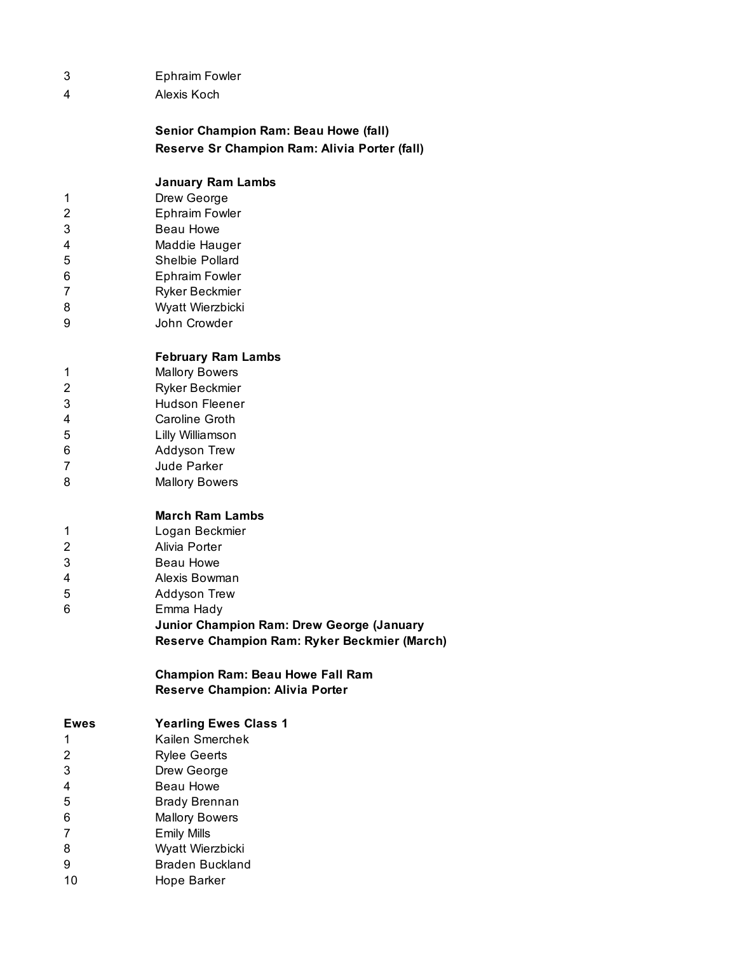- Ephraim Fowler
- Alexis Koch

**Senior Champion Ram: Beau Howe (fall) Reserve Sr Champion Ram: Alivia Porter (fall)**

#### **January Ram Lambs**

- Drew George
- Ephraim Fowler
- Beau Howe
- Maddie Hauger
- Shelbie Pollard
- Ephraim Fowler
- Ryker Beckmier
- Wyatt Wierzbicki
- John Crowder

## **February Ram Lambs**

- Mallory Bowers
- Ryker Beckmier Hudson Fleener
- Caroline Groth
- Lilly Williamson
- Addyson Trew
- Jude Parker
- Mallory Bowers

#### **March Ram Lambs**

- Logan Beckmier
- Alivia Porter
- Beau Howe
- Alexis Bowman
- Addyson Trew
- Emma Hady
	- **Junior Champion Ram: Drew George (January Reserve Champion Ram: Ryker Beckmier (March)**

### **Champion Ram: Beau Howe Fall Ram Reserve Champion: Alivia Porter**

| <b>Ewes</b> | <b>Yearling Ewes Class 1</b> |
|-------------|------------------------------|
| 1           | Kailen Smerchek              |
| 2           | <b>Rylee Geerts</b>          |
| 3           | Drew George                  |
| 4           | <b>Beau Howe</b>             |
| 5           | <b>Brady Brennan</b>         |
| 6           | <b>Mallory Bowers</b>        |
| 7           | <b>Emily Mills</b>           |
| 8           | Wyatt Wierzbicki             |

- Braden Buckland
- Hope Barker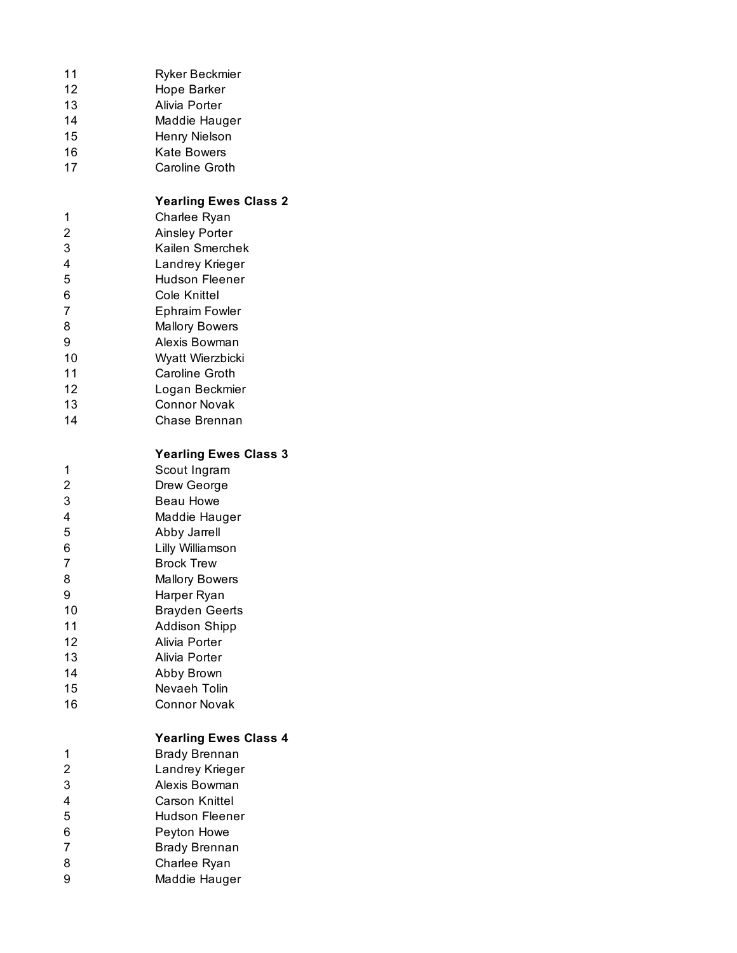| 11<br>12<br>13<br>14<br>15<br>16<br>17                                                                        | Ryker Beckmier<br>Hope Barker<br>Alivia Porter<br>Maddie Hauger<br>Henry Nielson<br><b>Kate Bowers</b><br><b>Caroline Groth</b>                                                                                                                                                                                                           |
|---------------------------------------------------------------------------------------------------------------|-------------------------------------------------------------------------------------------------------------------------------------------------------------------------------------------------------------------------------------------------------------------------------------------------------------------------------------------|
| 1<br>$\overline{c}$<br>3<br>$\overline{\mathbf{4}}$<br>5<br>6<br>7<br>8<br>9<br>10<br>11<br>12<br>13<br>14    | <b>Yearling Ewes Class 2</b><br>Charlee Ryan<br><b>Ainsley Porter</b><br>Kailen Smerchek<br>Landrey Krieger<br><b>Hudson Fleener</b><br><b>Cole Knittel</b><br><b>Ephraim Fowler</b><br><b>Mallory Bowers</b><br>Alexis Bowman<br>Wyatt Wierzbicki<br>Caroline Groth<br>Logan Beckmier<br><b>Connor Novak</b><br>Chase Brennan            |
| 1<br>$\overline{2}$<br>3<br>$\overline{4}$<br>5<br>6<br>7<br>8<br>9<br>10<br>11<br>12<br>13<br>14<br>15<br>16 | <b>Yearling Ewes Class 3</b><br>Scout Ingram<br>Drew George<br><b>Beau Howe</b><br>Maddie Hauger<br>Abby Jarrell<br>Lilly Williamson<br><b>Brock Trew</b><br><b>Mallory Bowers</b><br>Harper Ryan<br><b>Brayden Geerts</b><br><b>Addison Shipp</b><br>Alivia Porter<br>Alivia Porter<br>Abby Brown<br>Nevaeh Tolin<br><b>Connor Novak</b> |
| 1<br>$\overline{c}$<br>3<br>$\overline{4}$<br>5<br>6<br>$\overline{7}$<br>8<br>9                              | <b>Yearling Ewes Class 4</b><br><b>Brady Brennan</b><br>Landrey Krieger<br>Alexis Bowman<br>Carson Knittel<br><b>Hudson Fleener</b><br>Peyton Howe<br><b>Brady Brennan</b><br>Charlee Ryan<br>Maddie Hauger                                                                                                                               |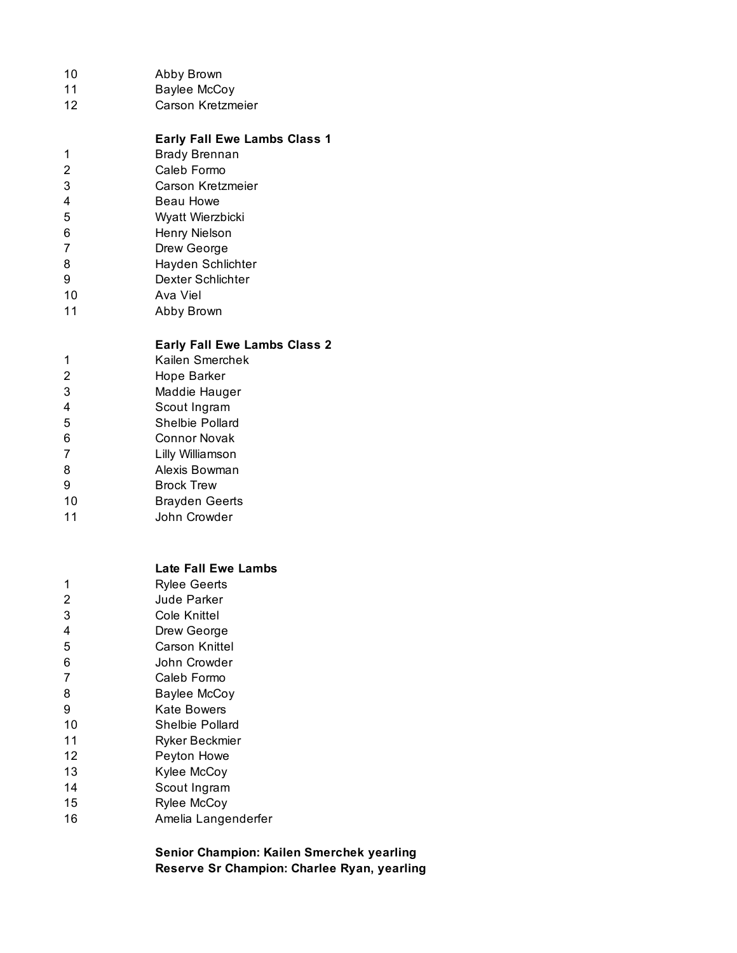| 10<br>11<br>12                                                                      | Abby Brown<br><b>Baylee McCoy</b><br>Carson Kretzmeier                                                                                                                                                                                                                                                                        |
|-------------------------------------------------------------------------------------|-------------------------------------------------------------------------------------------------------------------------------------------------------------------------------------------------------------------------------------------------------------------------------------------------------------------------------|
| 1<br>$\overline{c}$<br>3<br>4<br>5<br>6<br>7<br>8<br>9<br>10<br>11                  | <b>Early Fall Ewe Lambs Class 1</b><br><b>Brady Brennan</b><br>Caleb Formo<br>Carson Kretzmeier<br>Beau Howe<br>Wyatt Wierzbicki<br>Henry Nielson<br>Drew George<br>Hayden Schlichter<br>Dexter Schlichter<br>Ava Viel<br>Abby Brown                                                                                          |
| 1<br>$\overline{c}$<br>3<br>4<br>5<br>6<br>7<br>8<br>9<br>10<br>11                  | <b>Early Fall Ewe Lambs Class 2</b><br>Kailen Smerchek<br>Hope Barker<br>Maddie Hauger<br>Scout Ingram<br>Shelbie Pollard<br>Connor Novak<br>Lilly Williamson<br>Alexis Bowman<br><b>Brock Trew</b><br><b>Brayden Geerts</b><br>John Crowder                                                                                  |
| 1<br>2<br>3<br>4<br>5<br>6<br>7<br>8<br>9<br>10<br>11<br>12<br>13<br>14<br>15<br>16 | <b>Late Fall Ewe Lambs</b><br><b>Rylee Geerts</b><br>Jude Parker<br>Cole Knittel<br>Drew George<br>Carson Knittel<br>John Crowder<br>Caleb Formo<br><b>Baylee McCoy</b><br><b>Kate Bowers</b><br><b>Shelbie Pollard</b><br>Ryker Beckmier<br>Peyton Howe<br>Kylee McCoy<br>Scout Ingram<br>Rylee McCoy<br>Amelia Langenderfer |

**Senior Champion: Kailen Smerchek yearling Reserve Sr Champion: Charlee Ryan, yearling**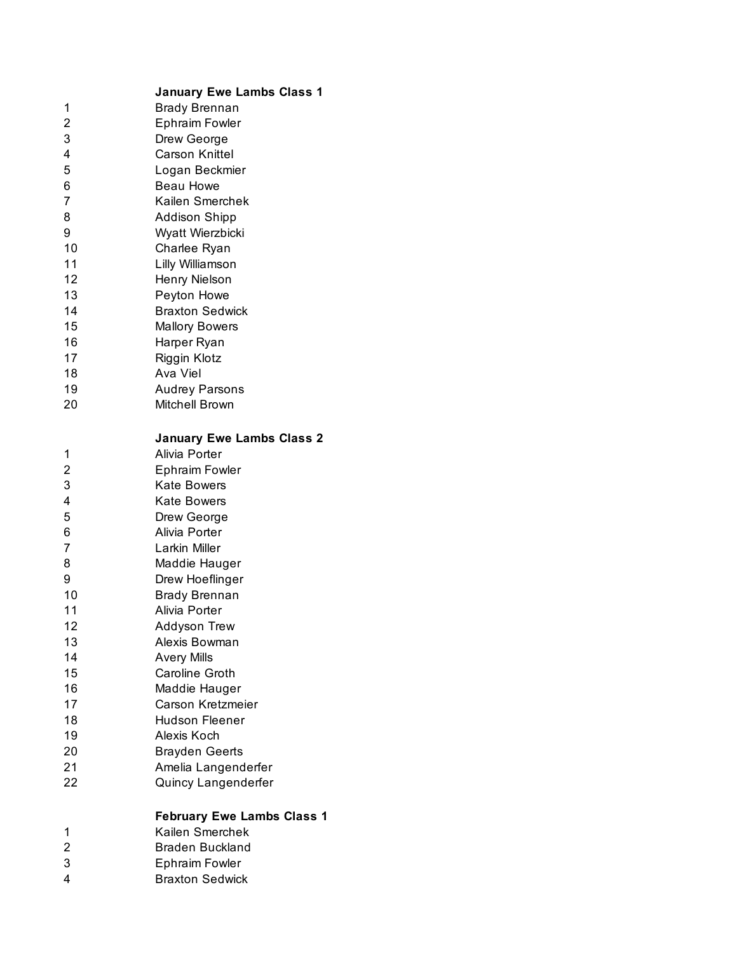|                | <b>January Ewe Lambs Class 1</b>  |
|----------------|-----------------------------------|
| 1              | <b>Brady Brennan</b>              |
| 2              | <b>Ephraim Fowler</b>             |
| 3              | Drew George                       |
| 4              | <b>Carson Knittel</b>             |
| 5              | Logan Beckmier                    |
| 6              | <b>Beau Howe</b>                  |
| 7              | Kailen Smerchek                   |
| 8              | <b>Addison Shipp</b>              |
| 9              | Wyatt Wierzbicki                  |
| 10             | Charlee Ryan                      |
| 11             | Lilly Williamson                  |
| 12             | Henry Nielson                     |
| 13             | Peyton Howe                       |
|                |                                   |
| 14             | <b>Braxton Sedwick</b>            |
| 15             | <b>Mallory Bowers</b>             |
| 16             | Harper Ryan                       |
| 17             | Riggin Klotz                      |
| 18             | Ava Viel                          |
| 19             | <b>Audrey Parsons</b>             |
| 20             | <b>Mitchell Brown</b>             |
|                | <b>January Ewe Lambs Class 2</b>  |
| 1              | Alivia Porter                     |
| 2              | <b>Ephraim Fowler</b>             |
| 3              | <b>Kate Bowers</b>                |
| 4              | <b>Kate Bowers</b>                |
| 5              | Drew George                       |
| 6              | Alivia Porter                     |
| 7              | Larkin Miller                     |
| 8              | Maddie Hauger                     |
| 9              | Drew Hoeflinger                   |
| 10             | <b>Brady Brennan</b>              |
| 11             | Alivia Porter                     |
| 12             | Addyson Trew                      |
| 13             | Alexis Bowman                     |
| 14             | <b>Avery Mills</b>                |
| 15             | Caroline Groth                    |
| 16             | Maddie Hauger                     |
| 17             | Carson Kretzmeier                 |
| 18             | Hudson Fleener                    |
| 19             | Alexis Koch                       |
| 20             | <b>Brayden Geerts</b>             |
| 21             | Amelia Langenderfer               |
| 22             | Quincy Langenderfer               |
|                |                                   |
|                | <b>February Ewe Lambs Class 1</b> |
| 1              | Kailen Smerchek                   |
| $\overline{2}$ | <b>Braden Buckland</b>            |
| 3              | <b>Ephraim Fowler</b>             |
| 4              | <b>Braxton Sedwick</b>            |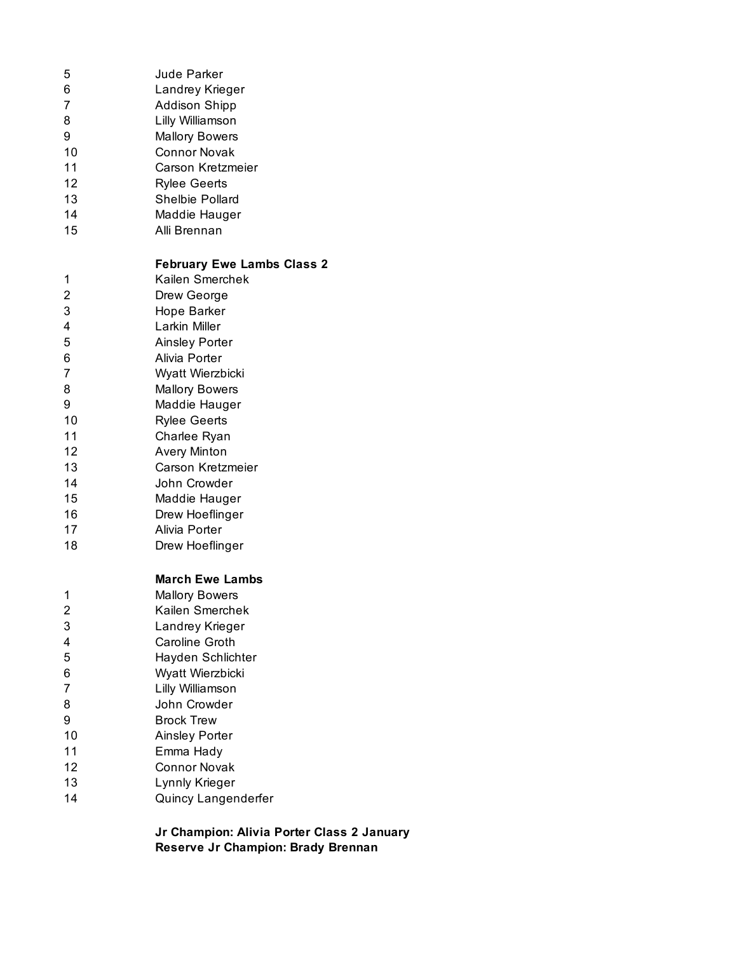| 5              | <b>Jude Parker</b>                |
|----------------|-----------------------------------|
| 6              | Landrey Krieger                   |
| $\overline{7}$ | <b>Addison Shipp</b>              |
| 8              | Lilly Williamson                  |
| 9              | <b>Mallory Bowers</b>             |
| 10             | <b>Connor Novak</b>               |
| 11             | Carson Kretzmeier                 |
| 12             | <b>Rylee Geerts</b>               |
| 13             | Shelbie Pollard                   |
| 14             | Maddie Hauger                     |
| 15             | Alli Brennan                      |
|                | <b>February Ewe Lambs Class 2</b> |
| 1              | Kailen Smerchek                   |
| $\overline{c}$ | Drew George                       |
| 3              | Hope Barker                       |
| 4              | Larkin Miller                     |
| 5              | <b>Ainsley Porter</b>             |
| 6              | Alivia Porter                     |
| 7              | Wyatt Wierzbicki                  |
| 8              | <b>Mallory Bowers</b>             |
| 9              | Maddie Hauger                     |
| 10             | <b>Rylee Geerts</b>               |
| 11             | Charlee Ryan                      |
| 12             | <b>Avery Minton</b>               |
| 13             | Carson Kretzmeier                 |
| 14             | John Crowder                      |
| 15             | Maddie Hauger                     |
| 16             | Drew Hoeflinger                   |
| 17             | Alivia Porter                     |
| 18             | Drew Hoeflinger                   |
|                | <b>March Ewe Lambs</b>            |
| 1              | <b>Mallory Bowers</b>             |
| $\overline{c}$ | Kailen Smerchek                   |
| 3              | Landrey Krieger                   |
| 4              | Caroline Groth                    |
| 5              | Hayden Schlichter                 |
| 6              | Wyatt Wierzbicki                  |
| $\overline{7}$ | Lilly Williamson                  |
| 8              | John Crowder                      |
| 9              | <b>Brock Trew</b>                 |
| 10             | <b>Ainsley Porter</b>             |
| 11             | Emma Hady                         |
| 12             | <b>Connor Novak</b>               |
| 13             | Lynnly Krieger                    |
| 1 <sub>A</sub> | Quincy Langenderfer               |

Quincy Langenderfer

**Jr Champion: Alivia Porter Class 2 January Reserve Jr Champion: Brady Brennan**